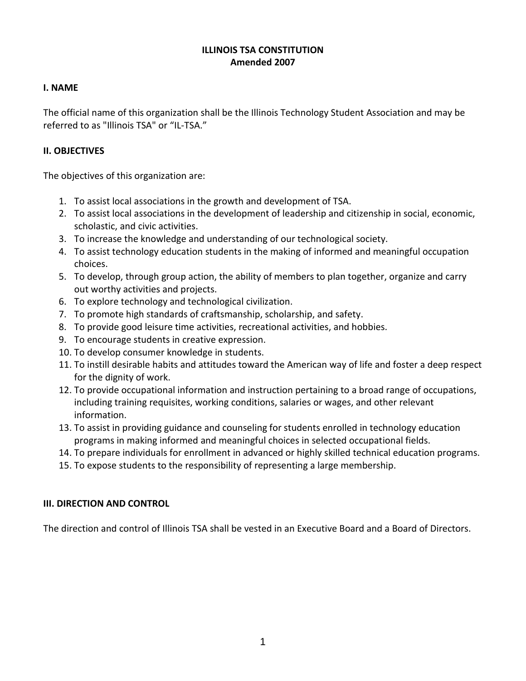### **ILLINOIS TSA CONSTITUTION Amended 2007**

#### **I. NAME**

The official name of this organization shall be the Illinois Technology Student Association and may be referred to as "Illinois TSA" or "IL-TSA."

## **II. OBJECTIVES**

The objectives of this organization are:

- 1. To assist local associations in the growth and development of TSA.
- 2. To assist local associations in the development of leadership and citizenship in social, economic, scholastic, and civic activities.
- 3. To increase the knowledge and understanding of our technological society.
- 4. To assist technology education students in the making of informed and meaningful occupation choices.
- 5. To develop, through group action, the ability of members to plan together, organize and carry out worthy activities and projects.
- 6. To explore technology and technological civilization.
- 7. To promote high standards of craftsmanship, scholarship, and safety.
- 8. To provide good leisure time activities, recreational activities, and hobbies.
- 9. To encourage students in creative expression.
- 10. To develop consumer knowledge in students.
- 11. To instill desirable habits and attitudes toward the American way of life and foster a deep respect for the dignity of work.
- 12. To provide occupational information and instruction pertaining to a broad range of occupations, including training requisites, working conditions, salaries or wages, and other relevant information.
- 13. To assist in providing guidance and counseling for students enrolled in technology education programs in making informed and meaningful choices in selected occupational fields.
- 14. To prepare individuals for enrollment in advanced or highly skilled technical education programs.
- 15. To expose students to the responsibility of representing a large membership.

### **III. DIRECTION AND CONTROL**

The direction and control of Illinois TSA shall be vested in an Executive Board and a Board of Directors.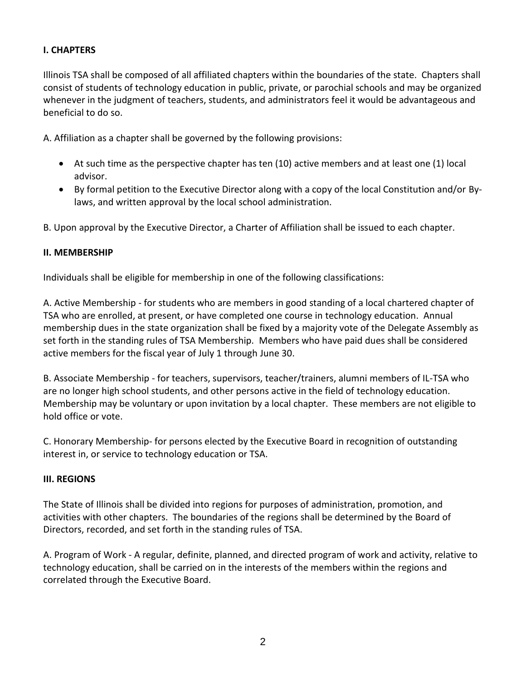### **I. CHAPTERS**

Illinois TSA shall be composed of all affiliated chapters within the boundaries of the state. Chapters shall consist of students of technology education in public, private, or parochial schools and may be organized whenever in the judgment of teachers, students, and administrators feel it would be advantageous and beneficial to do so.

A. Affiliation as a chapter shall be governed by the following provisions:

- At such time as the perspective chapter has ten (10) active members and at least one (1) local advisor.
- By formal petition to the Executive Director along with a copy of the local Constitution and/or Bylaws, and written approval by the local school administration.

B. Upon approval by the Executive Director, a Charter of Affiliation shall be issued to each chapter.

#### **II. MEMBERSHIP**

Individuals shall be eligible for membership in one of the following classifications:

A. Active Membership - for students who are members in good standing of a local chartered chapter of TSA who are enrolled, at present, or have completed one course in technology education. Annual membership dues in the state organization shall be fixed by a majority vote of the Delegate Assembly as set forth in the standing rules of TSA Membership. Members who have paid dues shall be considered active members for the fiscal year of July 1 through June 30.

B. Associate Membership - for teachers, supervisors, teacher/trainers, alumni members of IL-TSA who are no longer high school students, and other persons active in the field of technology education. Membership may be voluntary or upon invitation by a local chapter. These members are not eligible to hold office or vote.

C. Honorary Membership- for persons elected by the Executive Board in recognition of outstanding interest in, or service to technology education or TSA.

#### **III. REGIONS**

The State of Illinois shall be divided into regions for purposes of administration, promotion, and activities with other chapters. The boundaries of the regions shall be determined by the Board of Directors, recorded, and set forth in the standing rules of TSA.

A. Program of Work - A regular, definite, planned, and directed program of work and activity, relative to technology education, shall be carried on in the interests of the members within the regions and correlated through the Executive Board.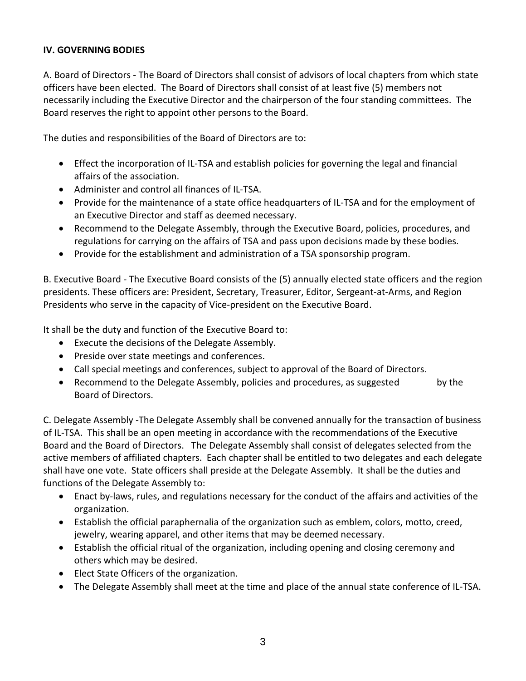### **IV. GOVERNING BODIES**

A. Board of Directors - The Board of Directors shall consist of advisors of local chapters from which state officers have been elected. The Board of Directors shall consist of at least five (5) members not necessarily including the Executive Director and the chairperson of the four standing committees. The Board reserves the right to appoint other persons to the Board.

The duties and responsibilities of the Board of Directors are to:

- Effect the incorporation of IL-TSA and establish policies for governing the legal and financial affairs of the association.
- Administer and control all finances of IL-TSA.
- Provide for the maintenance of a state office headquarters of IL-TSA and for the employment of an Executive Director and staff as deemed necessary.
- Recommend to the Delegate Assembly, through the Executive Board, policies, procedures, and regulations for carrying on the affairs of TSA and pass upon decisions made by these bodies.
- Provide for the establishment and administration of a TSA sponsorship program.

B. Executive Board - The Executive Board consists of the (5) annually elected state officers and the region presidents. These officers are: President, Secretary, Treasurer, Editor, Sergeant-at-Arms, and Region Presidents who serve in the capacity of Vice-president on the Executive Board.

It shall be the duty and function of the Executive Board to:

- Execute the decisions of the Delegate Assembly.
- Preside over state meetings and conferences.
- Call special meetings and conferences, subject to approval of the Board of Directors.
- Recommend to the Delegate Assembly, policies and procedures, as suggested by the Board of Directors.

C. Delegate Assembly -The Delegate Assembly shall be convened annually for the transaction of business of IL-TSA. This shall be an open meeting in accordance with the recommendations of the Executive Board and the Board of Directors. The Delegate Assembly shall consist of delegates selected from the active members of affiliated chapters. Each chapter shall be entitled to two delegates and each delegate shall have one vote. State officers shall preside at the Delegate Assembly. It shall be the duties and functions of the Delegate Assembly to:

- Enact by-laws, rules, and regulations necessary for the conduct of the affairs and activities of the organization.
- Establish the official paraphernalia of the organization such as emblem, colors, motto, creed, jewelry, wearing apparel, and other items that may be deemed necessary.
- Establish the official ritual of the organization, including opening and closing ceremony and others which may be desired.
- Elect State Officers of the organization.
- The Delegate Assembly shall meet at the time and place of the annual state conference of IL-TSA.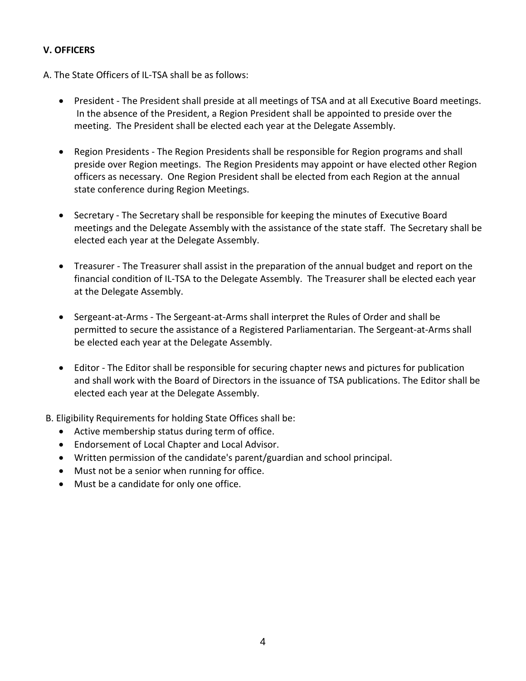## **V. OFFICERS**

- A. The State Officers of IL-TSA shall be as follows:
	- President The President shall preside at all meetings of TSA and at all Executive Board meetings. In the absence of the President, a Region President shall be appointed to preside over the meeting. The President shall be elected each year at the Delegate Assembly.
	- Region Presidents The Region Presidents shall be responsible for Region programs and shall preside over Region meetings. The Region Presidents may appoint or have elected other Region officers as necessary. One Region President shall be elected from each Region at the annual state conference during Region Meetings.
	- Secretary The Secretary shall be responsible for keeping the minutes of Executive Board meetings and the Delegate Assembly with the assistance of the state staff. The Secretary shall be elected each year at the Delegate Assembly.
	- Treasurer The Treasurer shall assist in the preparation of the annual budget and report on the financial condition of IL-TSA to the Delegate Assembly. The Treasurer shall be elected each year at the Delegate Assembly.
	- Sergeant-at-Arms The Sergeant-at-Arms shall interpret the Rules of Order and shall be permitted to secure the assistance of a Registered Parliamentarian. The Sergeant-at-Arms shall be elected each year at the Delegate Assembly.
	- Editor The Editor shall be responsible for securing chapter news and pictures for publication and shall work with the Board of Directors in the issuance of TSA publications. The Editor shall be elected each year at the Delegate Assembly.
- B. Eligibility Requirements for holding State Offices shall be:
	- Active membership status during term of office.
	- Endorsement of Local Chapter and Local Advisor.
	- Written permission of the candidate's parent/guardian and school principal.
	- Must not be a senior when running for office.
	- Must be a candidate for only one office.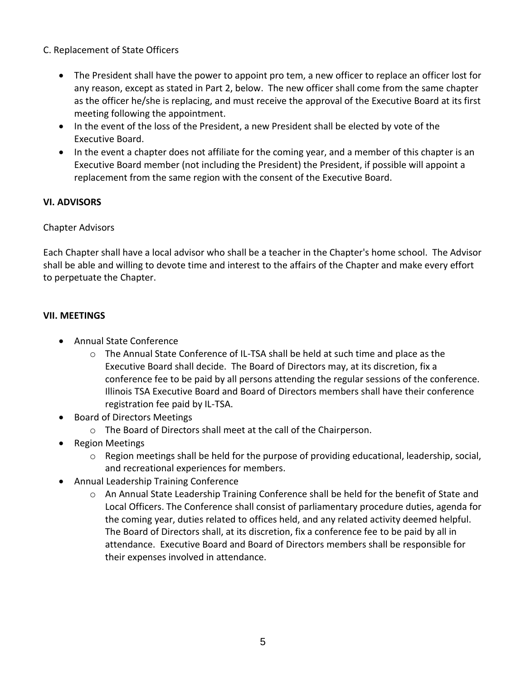## C. Replacement of State Officers

- The President shall have the power to appoint pro tem, a new officer to replace an officer lost for any reason, except as stated in Part 2, below. The new officer shall come from the same chapter as the officer he/she is replacing, and must receive the approval of the Executive Board at its first meeting following the appointment.
- In the event of the loss of the President, a new President shall be elected by vote of the Executive Board.
- In the event a chapter does not affiliate for the coming year, and a member of this chapter is an Executive Board member (not including the President) the President, if possible will appoint a replacement from the same region with the consent of the Executive Board.

### **VI. ADVISORS**

### Chapter Advisors

Each Chapter shall have a local advisor who shall be a teacher in the Chapter's home school. The Advisor shall be able and willing to devote time and interest to the affairs of the Chapter and make every effort to perpetuate the Chapter.

## **VII. MEETINGS**

- Annual State Conference
	- $\circ$  The Annual State Conference of IL-TSA shall be held at such time and place as the Executive Board shall decide. The Board of Directors may, at its discretion, fix a conference fee to be paid by all persons attending the regular sessions of the conference. Illinois TSA Executive Board and Board of Directors members shall have their conference registration fee paid by IL-TSA.
- Board of Directors Meetings
	- o The Board of Directors shall meet at the call of the Chairperson.
- Region Meetings
	- $\circ$  Region meetings shall be held for the purpose of providing educational, leadership, social, and recreational experiences for members.
- Annual Leadership Training Conference
	- o An Annual State Leadership Training Conference shall be held for the benefit of State and Local Officers. The Conference shall consist of parliamentary procedure duties, agenda for the coming year, duties related to offices held, and any related activity deemed helpful. The Board of Directors shall, at its discretion, fix a conference fee to be paid by all in attendance. Executive Board and Board of Directors members shall be responsible for their expenses involved in attendance.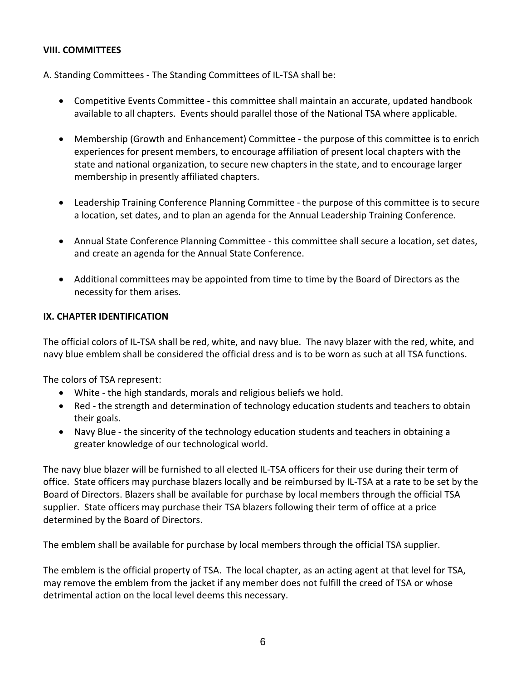#### **VIII. COMMITTEES**

A. Standing Committees - The Standing Committees of IL-TSA shall be:

- Competitive Events Committee this committee shall maintain an accurate, updated handbook available to all chapters. Events should parallel those of the National TSA where applicable.
- Membership (Growth and Enhancement) Committee the purpose of this committee is to enrich experiences for present members, to encourage affiliation of present local chapters with the state and national organization, to secure new chapters in the state, and to encourage larger membership in presently affiliated chapters.
- Leadership Training Conference Planning Committee the purpose of this committee is to secure a location, set dates, and to plan an agenda for the Annual Leadership Training Conference.
- Annual State Conference Planning Committee this committee shall secure a location, set dates, and create an agenda for the Annual State Conference.
- Additional committees may be appointed from time to time by the Board of Directors as the necessity for them arises.

#### **IX. CHAPTER IDENTIFICATION**

The official colors of IL-TSA shall be red, white, and navy blue. The navy blazer with the red, white, and navy blue emblem shall be considered the official dress and is to be worn as such at all TSA functions.

The colors of TSA represent:

- White the high standards, morals and religious beliefs we hold.
- Red the strength and determination of technology education students and teachers to obtain their goals.
- Navy Blue the sincerity of the technology education students and teachers in obtaining a greater knowledge of our technological world.

The navy blue blazer will be furnished to all elected IL-TSA officers for their use during their term of office. State officers may purchase blazers locally and be reimbursed by IL-TSA at a rate to be set by the Board of Directors. Blazers shall be available for purchase by local members through the official TSA supplier. State officers may purchase their TSA blazers following their term of office at a price determined by the Board of Directors.

The emblem shall be available for purchase by local members through the official TSA supplier.

The emblem is the official property of TSA. The local chapter, as an acting agent at that level for TSA, may remove the emblem from the jacket if any member does not fulfill the creed of TSA or whose detrimental action on the local level deems this necessary.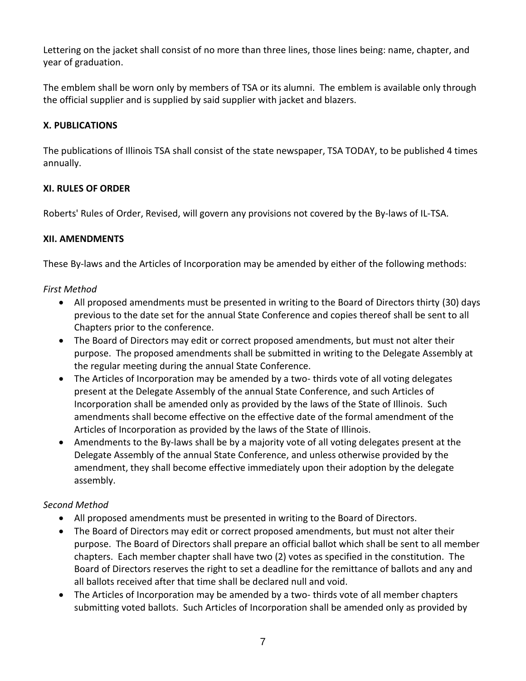Lettering on the jacket shall consist of no more than three lines, those lines being: name, chapter, and year of graduation.

The emblem shall be worn only by members of TSA or its alumni. The emblem is available only through the official supplier and is supplied by said supplier with jacket and blazers.

# **X. PUBLICATIONS**

The publications of Illinois TSA shall consist of the state newspaper, TSA TODAY, to be published 4 times annually.

### **XI. RULES OF ORDER**

Roberts' Rules of Order, Revised, will govern any provisions not covered by the By-laws of IL-TSA.

## **XII. AMENDMENTS**

These By-laws and the Articles of Incorporation may be amended by either of the following methods:

## *First Method*

- All proposed amendments must be presented in writing to the Board of Directors thirty (30) days previous to the date set for the annual State Conference and copies thereof shall be sent to all Chapters prior to the conference.
- The Board of Directors may edit or correct proposed amendments, but must not alter their purpose. The proposed amendments shall be submitted in writing to the Delegate Assembly at the regular meeting during the annual State Conference.
- The Articles of Incorporation may be amended by a two-thirds vote of all voting delegates present at the Delegate Assembly of the annual State Conference, and such Articles of Incorporation shall be amended only as provided by the laws of the State of Illinois. Such amendments shall become effective on the effective date of the formal amendment of the Articles of Incorporation as provided by the laws of the State of Illinois.
- Amendments to the By-laws shall be by a majority vote of all voting delegates present at the Delegate Assembly of the annual State Conference, and unless otherwise provided by the amendment, they shall become effective immediately upon their adoption by the delegate assembly.

# *Second Method*

- All proposed amendments must be presented in writing to the Board of Directors.
- The Board of Directors may edit or correct proposed amendments, but must not alter their purpose. The Board of Directors shall prepare an official ballot which shall be sent to all member chapters. Each member chapter shall have two (2) votes as specified in the constitution. The Board of Directors reserves the right to set a deadline for the remittance of ballots and any and all ballots received after that time shall be declared null and void.
- The Articles of Incorporation may be amended by a two- thirds vote of all member chapters submitting voted ballots. Such Articles of Incorporation shall be amended only as provided by